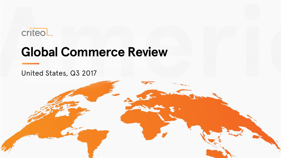



# **Global Commerce Review**

### United States, Q3 2017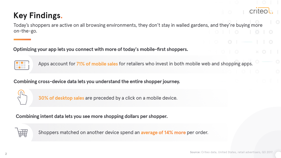# **Key Findings**

Today's shoppers are active on all browsing environments, they don't stay in walled gardens, and they're buying more on-the-go.

**Optimizing your app lets you connect with more of today's mobile-first shoppers.**



Apps account for 71% of mobile sales for retailers who invest in both mobile web and shopping apps.

**Combining cross-device data lets you understand the entire shopper journey.**



30% of desktop sales are preceded by a click on a mobile device.

**Combining intent data lets you see more shopping dollars per shopper.**



Shoppers matched on another device spend an average of 14% more per order.

criteo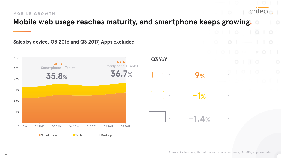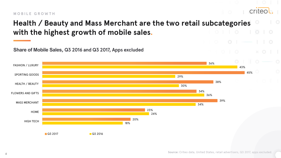#### **MOBILE GROWTH**



### **Health / Beauty and Mass Merchant are the two retail subcategories with the highest growth of mobile sales.**

**Share of Mobile Sales, Q3 2016 and Q3 2017, Apps excluded**

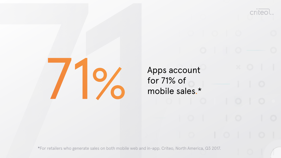

Apps account for 71% of mobile sales.\* criteol

**\***For retailers who generate sales on both mobile web and in-app. Criteo, North America, Q3 2017.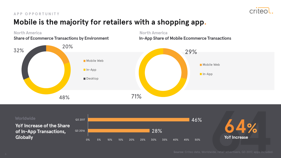

### **Mobile is the majority for retailers with a shopping app. APP OPPORTUNITY**

**North America North America**

**Share of Ecommerce Transactions by Environment**



**In-App Share of Mobile Ecommerce Transactions**

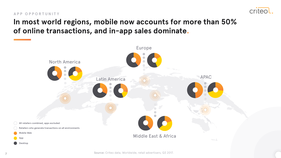

#### **APP OPPORTUNITY**

### **In most world regions, mobile now accounts for more than 50% of online transactions, and in-app sales dominate.**



**Source:** Criteo data, Worldwide, retail advertisers, Q3 2017.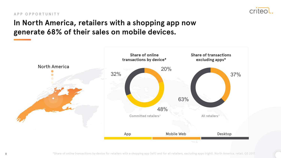

#### **APP OPPORTUNITY**

### **In North America, retailers with a shopping app now generate 68% of their sales on mobile devices.**

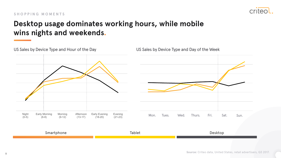

#### **SHOPPING MOMENTS**

### **Desktop usage dominates working hours, while mobile wins nights and weekends.**

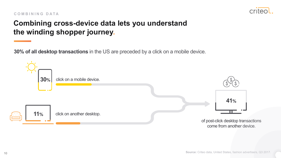### crited

#### **COMBINING DATA**

### **Combining cross-device data lets you understand the winding shopper journey.**

**30% of all desktop transactions** in the US are preceded by a click on a mobile device.

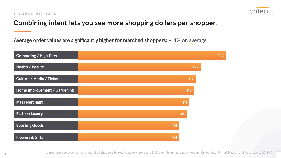

### **Combining intent lets you see more shopping dollars per shopper.**

**Average order values are significantly higher for matched shoppers:** +14% on average.

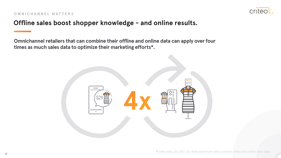

### **Offline sales boost shopper knowledge - and online results.**

**Omnichannel retailers that can combine their offline and online data can apply over four times as much sales data to optimize their marketing efforts\*.**